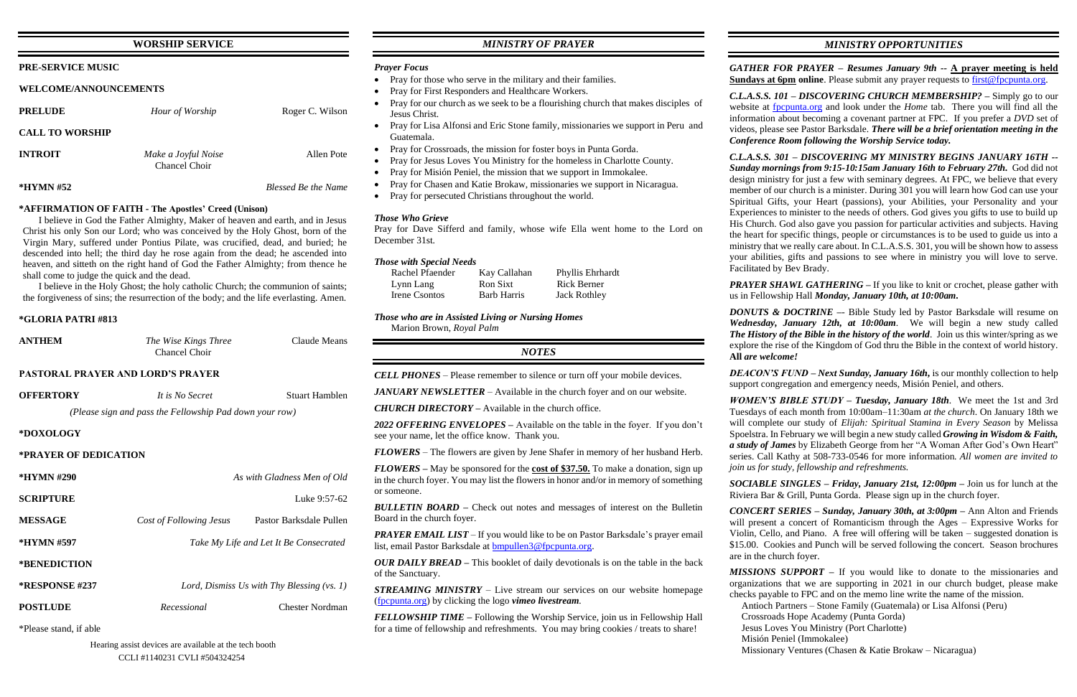## **WORSHIP SERVICE**

### **PRE-SERVICE MUSIC**

### **WELCOME/ANNOUNCEMENTS**

| <b>PRELUDE</b>         | Hour of Worship                      | Roger C. Wilson            |
|------------------------|--------------------------------------|----------------------------|
| <b>CALL TO WORSHIP</b> |                                      |                            |
| <b>INTROIT</b>         | Make a Joyful Noise<br>Chancel Choir | Allen Pote                 |
| $*HYMN \#52$           |                                      | <b>Blessed Be the Name</b> |

### **\*AFFIRMATION OF FAITH - The Apostles' Creed (Unison)**

I believe in God the Father Almighty, Maker of heaven and earth, and in Jesus Christ his only Son our Lord; who was conceived by the Holy Ghost, born of the Virgin Mary, suffered under Pontius Pilate, was crucified, dead, and buried; he descended into hell; the third day he rose again from the dead; he ascended into heaven, and sitteth on the right hand of God the Father Almighty; from thence he shall come to judge the quick and the dead.

I believe in the Holy Ghost; the holy catholic Church; the communion of saints; the forgiveness of sins; the resurrection of the body; and the life everlasting. Amen.

### **\*GLORIA PATRI #813**

| <b>ANTHEM</b> | The Wise Kings Three | Claude Means |
|---------------|----------------------|--------------|
|               | Chancel Choir        |              |

### **PASTORAL PRAYER AND LORD'S PRAYER**

| <b>OFFERTORY</b>      | It is No Secret                                         | Stuart Hamblen                         |
|-----------------------|---------------------------------------------------------|----------------------------------------|
|                       | (Please sign and pass the Fellowship Pad down your row) |                                        |
| *DOXOLOGY             |                                                         |                                        |
| *PRAYER OF DEDICATION |                                                         |                                        |
| <b>*HYMN#290</b>      |                                                         | As with Gladness Men of Old            |
| <b>SCRIPTURE</b>      |                                                         | Luke 9:57-62                           |
| <b>MESSAGE</b>        | Cost of Following Jesus                                 | Pastor Barksdale Pullen                |
| *HYMN #597            |                                                         | Take My Life and Let It Be Consecrated |
| *BENEDICTION          |                                                         |                                        |
| <b>*RESPONSE #237</b> | Lord, Dismiss Us with Thy Blessing $(vs. 1)$            |                                        |
| <b>POSTLUDE</b>       | Recessional                                             | Chester Nordman                        |
| *Dlagea stand if abla |                                                         |                                        |

Please stand, if able

## *MINISTRY OF PRAYER*

### *Prayer Focus*

- Pray for those who serve in the military and their families.
- Pray for First Responders and Healthcare Workers.
- Pray for our church as we seek to be a flourishing church that makes disciples of Jesus Christ.
- Pray for Lisa Alfonsi and Eric Stone family, missionaries we support in Peru and Guatemala.
- Pray for Crossroads, the mission for foster boys in Punta Gorda.
- Pray for Jesus Loves You Ministry for the homeless in Charlotte County.
- Pray for Misión Peniel, the mission that we support in Immokalee.
- Pray for Chasen and Katie Brokaw, missionaries we support in Nicaragua.
- Pray for persecuted Christians throughout the world.

*GATHER FOR PRAYER – Resumes January 9th --* **A prayer meeting is held Sundays at 6pm online**. Please submit any prayer requests to [first@fpcpunta.org.](about:blank)

### *Those Who Grieve*

Pray for Dave Sifferd and family, whose wife Ella went home to the Lord on December 31st.

## *Those with Special Needs*

| Rachel Pfaender | Kay Callahan       | Phyllis Ehrhardt    |
|-----------------|--------------------|---------------------|
| Lynn Lang       | Ron Sixt           | Rick Berner         |
| Irene Csontos   | <b>Barb Harris</b> | <b>Jack Rothley</b> |

*Those who are in Assisted Living or Nursing Homes*

Marion Brown, *Royal Palm*

## *NOTES*

*CELL PHONES –* Please remember to silence or turn off your mobile devices.

*PRAYER SHAWL GATHERING –* If you like to knit or crochet, please gather with us in Fellowship Hall *Monday, January 10th, at 10:00am***.**

*JANUARY NEWSLETTER –* Available in the church foyer and on our website.

*CHURCH DIRECTORY –* Available in the church office.

*2022 OFFERING ENVELOPES –* Available on the table in the foyer. If you don't see your name, let the office know. Thank you.

*FLOWERS* – The flowers are given by Jene Shafer in memory of her husband Herb.

*FLOWERS –* May be sponsored for the **cost of \$37.50.** To make a donation, sign up in the church foyer. You may list the flowers in honor and/or in memory of something or someone.

*BULLETIN BOARD –* Check out notes and messages of interest on the Bulletin Board in the church foyer.

*PRAYER EMAIL LIST* – If you would like to be on Pastor Barksdale's prayer email list, email Pastor Barksdale at **bmpullen3@fpcpunta.org**.

*OUR DAILY BREAD –* This booklet of daily devotionals is on the table in the back of the Sanctuary.

*STREAMING MINISTRY –* Live stream our services on our website homepage [\(fpcpunta.org\)](about:blank) by clicking the logo *vimeo livestream.*

*FELLOWSHIP TIME –* Following the Worship Service, join us in Fellowship Hall for a time of fellowship and refreshments. You may bring cookies / treats to share!

*C.L.A.S.S. 101 – DISCOVERING CHURCH MEMBERSHIP? –* Simply go to our website at [fpcpunta.org](about:blank) and look under the *Home* tab. There you will find all the information about becoming a covenant partner at FPC. If you prefer a *DVD* set of videos, please see Pastor Barksdale. *There will be a brief orientation meeting in the Conference Room following the Worship Service today.*

*C.L.A.S.S. 301 – DISCOVERING MY MINISTRY BEGINS JANUARY 16TH -- Sunday mornings from 9:15-10:15am January 16th to February 27th.* God did not design ministry for just a few with seminary degrees. At FPC, we believe that every member of our church is a minister. During 301 you will learn how God can use your Spiritual Gifts, your Heart (passions), your Abilities, your Personality and your Experiences to minister to the needs of others. God gives you gifts to use to build up His Church. God also gave you passion for particular activities and subjects. Having the heart for specific things, people or circumstances is to be used to guide us into a ministry that we really care about. In C.L.A.S.S. 301, you will be shown how to assess your abilities, gifts and passions to see where in ministry you will love to serve. Facilitated by Bev Brady.

*DONUTS & DOCTRINE –*- Bible Study led by Pastor Barksdale will resume on *Wednesday, January 12th, at 10:00am*. We will begin a new study called *The History of the Bible in the history of the world*. Join us this winter/spring as we explore the rise of the Kingdom of God thru the Bible in the context of world history. **All** *are welcome!*

*DEACON'S FUND – Next Sunday, January 16th***,** is our monthly collection to help support congregation and emergency needs, Misión Peniel, and others.

*WOMEN'S BIBLE STUDY – Tuesday, January 18th*. We meet the 1st and 3rd Tuesdays of each month from 10:00am–11:30am *at the church*. On January 18th we will complete our study of *Elijah: Spiritual Stamina in Every Season* by Melissa Spoelstra. In February we will begin a new study called *Growing in Wisdom & Faith, a study of James* by Elizabeth George from her "A Woman After God's Own Heart" series. Call Kathy at 508-733-0546 for more information. *All women are invited to join us for study, fellowship and refreshments.*

*SOCIABLE SINGLES – Friday, January 21st, 12:00pm –* Join us for lunch at the Riviera Bar & Grill, Punta Gorda. Please sign up in the church foyer.

*CONCERT SERIES – Sunday, January 30th, at 3:00pm –* Ann Alton and Friends will present a concert of Romanticism through the Ages – Expressive Works for Violin, Cello, and Piano. A free will offering will be taken – suggested donation is \$15.00. Cookies and Punch will be served following the concert. Season brochures are in the church foyer.

*MISSIONS SUPPORT –* If you would like to donate to the missionaries and organizations that we are supporting in 2021 in our church budget, please make checks payable to FPC and on the memo line write the name of the mission. Antioch Partners – Stone Family (Guatemala) or Lisa Alfonsi (Peru) Crossroads Hope Academy (Punta Gorda)

 Jesus Loves You Ministry (Port Charlotte) Misión Peniel (Immokalee)

Missionary Ventures (Chasen & Katie Brokaw – Nicaragua)